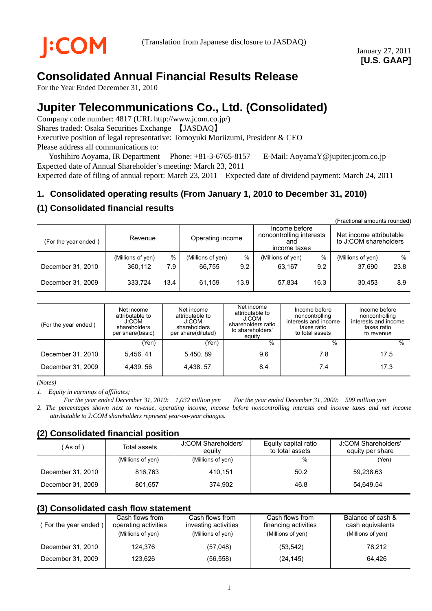# **Consolidated Annual Financial Results Release**

For the Year Ended December 31, 2010

# **Jupiter Telecommunications Co., Ltd. (Consolidated)**

Company code number: 4817 (URL http://www.jcom.co.jp/) Shares traded: Osaka Securities Exchange 【JASDAQ】 Executive position of legal representative: Tomoyuki Moriizumi, President & CEO Please address all communications to:

Yoshihiro Aoyama, IR Department Phone: +81-3-6765-8157 E-Mail: AoyamaY@jupiter.jcom.co.jp Expected date of Annual Shareholder's meeting: March 23, 2011

Expected date of filing of annual report: March 23, 2011 Expected date of dividend payment: March 24, 2011

## **1. Consolidated operating results (From January 1, 2010 to December 31, 2010)**

## **(1) Consolidated financial results**

|                      |                   |      |                   |      |                                                                  |      | (Fractional amounts rounded)                     |      |
|----------------------|-------------------|------|-------------------|------|------------------------------------------------------------------|------|--------------------------------------------------|------|
| (For the year ended) | Revenue           |      | Operating income  |      | Income before<br>noncontrolling interests<br>and<br>income taxes |      | Net income attributable<br>to J:COM shareholders |      |
|                      | (Millions of yen) | %    | (Millions of yen) | %    | (Millions of yen)                                                | $\%$ | (Millions of yen)                                | %    |
| December 31, 2010    | 360,112           | 7.9  | 66.755            | 9.2  | 63.167                                                           | 9.2  | 37.690                                           | 23.8 |
| December 31, 2009    | 333.724           | 13.4 | 61.159            | 13.9 | 57.834                                                           | 16.3 | 30.453                                           | 8.9  |

| (For the year ended) | Net income<br>attributable to<br>J:COM<br>shareholders<br>per share(basic) | Net income<br>attributable to<br>J:COM<br>shareholders<br>per share(diluted) | Net income<br>attributable to<br>J:COM<br>shareholders ratio<br>to shareholders'<br>equity | Income before<br>noncontrolling<br>interests and income<br>taxes ratio<br>to total assets | Income before<br>noncontrolling<br>interests and income<br>taxes ratio<br>to revenue |
|----------------------|----------------------------------------------------------------------------|------------------------------------------------------------------------------|--------------------------------------------------------------------------------------------|-------------------------------------------------------------------------------------------|--------------------------------------------------------------------------------------|
|                      | (Yen)                                                                      | (Yen)                                                                        | $\%$                                                                                       | %                                                                                         | $\%$                                                                                 |
| December 31, 2010    | 5.456, 41                                                                  | 5,450.89                                                                     | 9.6                                                                                        | 7.8                                                                                       | 17.5                                                                                 |
| December 31, 2009    | 4.439.56                                                                   | 4,438.57                                                                     | 8.4                                                                                        | 7.4                                                                                       | 17.3                                                                                 |

*(Notes)* 

*1. Equity in earnings of affiliates;* 

*For the year ended December 31, 2010: 1,032 million yen For the year ended December 31, 2009: 599 million yen 2. The percentages shown next to revenue, operating income, income before noncontrolling interests and income taxes and net income attributable to J:COM shareholders represent year-on-year changes.* 

## **(2) Consolidated financial position**

| As of )           | Total assets      | J:COM Shareholders'<br>eauitv | Equity capital ratio<br>to total assets | J:COM Shareholders'<br>equity per share |
|-------------------|-------------------|-------------------------------|-----------------------------------------|-----------------------------------------|
|                   | (Millions of yen) | (Millions of yen)             | %                                       | (Yen)                                   |
| December 31, 2010 | 816.763           | 410.151                       | 50.2                                    | 59,238.63                               |
| December 31, 2009 | 801.657           | 374.902                       | 46.8                                    | 54.649.54                               |

## **(3) Consolidated cash flow statement**

| For the year ended) | Cash flows from<br>operating activities | Cash flows from<br>investing activities | Cash flows from<br>financing activities | Balance of cash &<br>cash equivalents |
|---------------------|-----------------------------------------|-----------------------------------------|-----------------------------------------|---------------------------------------|
|                     | (Millions of yen)                       | (Millions of yen)                       | (Millions of yen)                       | (Millions of yen)                     |
| December 31, 2010   | 124.376                                 | (57,048)                                | (53, 542)                               | 78.212                                |
| December 31, 2009   | 123.626                                 | (56, 558)                               | (24, 145)                               | 64.426                                |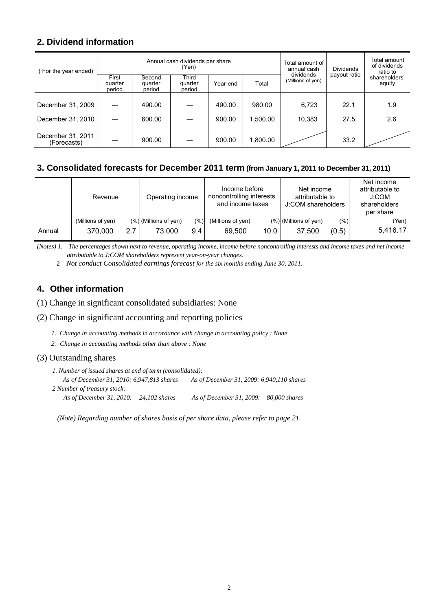## **2. Dividend information**

| (For the year ended)             |                            |                             | Annual cash dividends per share<br>(Yen) | Total amount of<br>annual cash | <b>Dividends</b> | Total amount<br>of dividends<br>ratio to |              |                         |
|----------------------------------|----------------------------|-----------------------------|------------------------------------------|--------------------------------|------------------|------------------------------------------|--------------|-------------------------|
|                                  | First<br>quarter<br>period | Second<br>quarter<br>period | Third<br>quarter<br>period               | Year-end                       | Total            | dividends<br>(Millions of yen)           | payout ratio | shareholders'<br>equity |
|                                  |                            |                             |                                          |                                |                  |                                          |              |                         |
| December 31, 2009                |                            | 490.00                      |                                          | 490.00                         | 980.00           | 6,723                                    | 22.1         | 1.9                     |
| December 31, 2010                |                            | 600.00                      |                                          | 900.00                         | 1.500.00         | 10.383                                   | 27.5         | 2.6                     |
| December 31, 2011<br>(Forecasts) |                            | 900.00                      |                                          | 900.00                         | 1,800.00         |                                          | 33.2         |                         |

## **3. Consolidated forecasts for December 2011 term (from January 1, 2011 to December 31, 2011)**

|        | Revenue           |     | Operating income         |         | Income before<br>noncontrolling interests<br>and income taxes |      | Net income<br>attributable to<br>J:COM shareholders |       | Net income<br>attributable to<br>J:COM<br>shareholders<br>per share |
|--------|-------------------|-----|--------------------------|---------|---------------------------------------------------------------|------|-----------------------------------------------------|-------|---------------------------------------------------------------------|
|        | (Millions of yen) |     | $(\%)$ (Millions of yen) | $(\%)]$ | (Millions of yen)                                             |      | $(\%)$ (Millions of yen)                            | (% )  | (Yen)                                                               |
| Annual | 370,000           | 2.7 | 73.000                   | 9.4     | 69,500                                                        | 10.0 | 37,500                                              | (0.5) | 5.416.17                                                            |

*(Notes) 1. The percentages shown next to revenue, operating income, income before noncontrolling interests and income taxes and net income attributable to J:COM shareholders represent year-on-year changes.* 

2 *Not conduct Consolidated earnings forecast for the six months ending June 30, 2011.* 

## **4. Other information**

(1) Change in significant consolidated subsidiaries: None

#### (2) Change in significant accounting and reporting policies

- *1. Change in accounting methods in accordance with change in accounting policy : None*
- *2. Change in accounting methods other than above : None*

#### (3) Outstanding shares

| 1. Number of issued shares at end of term (consolidated): |                                           |  |  |  |  |
|-----------------------------------------------------------|-------------------------------------------|--|--|--|--|
| As of December 31, 2010: 6,947,813 shares                 | As of December 31, 2009: 6,940,110 shares |  |  |  |  |
| 2 Number of treasury stock:                               |                                           |  |  |  |  |
| As of December 31, 2010: $24,102$ shares                  | As of December 31, 2009: 80,000 shares    |  |  |  |  |

*(Note) Regarding number of shares basis of per share data, please refer to page 21.*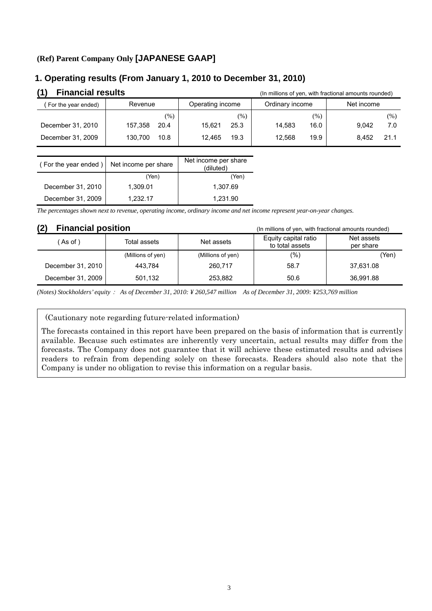## **(Ref) Parent Company Only [JAPANESE GAAP]**

### **1. Operating results (From January 1, 2010 to December 31, 2010)**

| (1)<br><b>Financial results</b> |                 |                  | (In millions of yen, with fractional amounts rounded) |               |
|---------------------------------|-----------------|------------------|-------------------------------------------------------|---------------|
| For the year ended)             | Revenue         | Operating income | Ordinary income                                       | Net income    |
|                                 | $(\% )$         | (% )             | $(\% )$                                               | (%)           |
| December 31, 2010               | 20.4<br>157.358 | 25.3<br>15.621   | 16.0<br>14.583                                        | 9.042<br>7.0  |
| December 31, 2009               | 10.8<br>130.700 | 19.3<br>12.465   | 19.9<br>12.568                                        | 21.1<br>8.452 |

| (For the year ended) | Net income per share | Net income per share<br>(diluted) |  |
|----------------------|----------------------|-----------------------------------|--|
|                      | (Yen)                | (Yen)                             |  |
| December 31, 2010    | 1.309.01             | 1.307.69                          |  |
| December 31, 2009    | 1.232.17             | 1.231.90                          |  |

*The percentages shown next to revenue, operating income, ordinary income and net income represent year-on-year changes.*

## **(2) Financial position** (In millions of yen, with fractional amounts rounded)

| 1 Z J<br>ı ıllalıvlal pusluvll |                   | (in millions of yen, with fractional amounts rounded) |                                         |                         |
|--------------------------------|-------------------|-------------------------------------------------------|-----------------------------------------|-------------------------|
| As of )                        | Total assets      | Net assets                                            | Equity capital ratio<br>to total assets | Net assets<br>per share |
|                                | (Millions of yen) | (Millions of yen)                                     | $(\%)$                                  | (Yen)                   |
| December 31, 2010              | 443.784           | 260.717                                               | 58.7                                    | 37,631.08               |
| December 31, 2009              | 501.132           | 253.882                                               | 50.6                                    | 36,991.88               |

*(Notes) Stockholders' equity*: *As of December 31, 2010: ¥ 260,547 million As of December 31, 2009: ¥253,769 million* 

#### (Cautionary note regarding future-related information)

The forecasts contained in this report have been prepared on the basis of information that is currently available. Because such estimates are inherently very uncertain, actual results may differ from the forecasts. The Company does not guarantee that it will achieve these estimated results and advises readers to refrain from depending solely on these forecasts. Readers should also note that the Company is under no obligation to revise this information on a regular basis.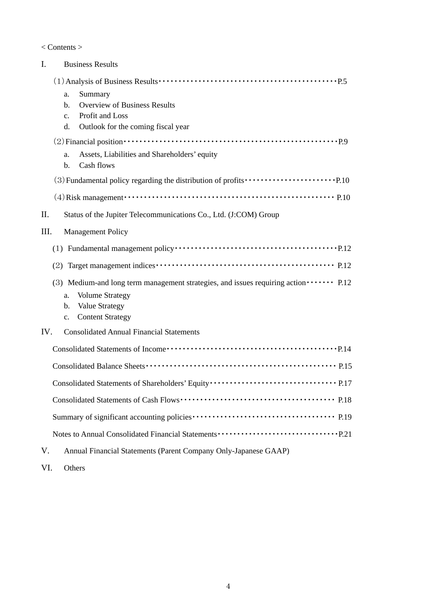< Contents >

| Ι.   | <b>Business Results</b>                                                                                                                                                                                                                                                                                                        |
|------|--------------------------------------------------------------------------------------------------------------------------------------------------------------------------------------------------------------------------------------------------------------------------------------------------------------------------------|
|      | Summary<br>a.<br><b>Overview of Business Results</b><br>b.<br>Profit and Loss<br>$c_{\cdot}$<br>Outlook for the coming fiscal year<br>d.                                                                                                                                                                                       |
|      | $(2)$ Financial position $\cdots$ $\cdots$ $\cdots$ $\cdots$ $\cdots$ $\cdots$ $\cdots$ $\cdots$ $\cdots$ $\cdots$ $\cdots$ $\cdots$ $\cdots$ $\cdots$ $\cdots$ $\cdots$<br>Assets, Liabilities and Shareholders' equity<br>a.<br>Cash flows<br>b.                                                                             |
|      |                                                                                                                                                                                                                                                                                                                                |
|      | $(4)$ Risk management $\cdots$ $\cdots$ $\cdots$ $\cdots$ $\cdots$ $\cdots$ $\cdots$ $\cdots$ $\cdots$ $\cdots$ $\cdots$ $\cdots$ $\cdots$ $\cdots$ $\cdots$ $\cdots$ $\cdots$ $\cdots$ $\cdots$ $\cdots$ $\cdots$ $\cdots$ $\cdots$ $\cdots$ $\cdots$ $\cdots$ $\cdots$ $\cdots$ $\cdots$ $\cdots$ $\cdots$ $\cdots$ $\cdots$ |
| П.   | Status of the Jupiter Telecommunications Co., Ltd. (J:COM) Group                                                                                                                                                                                                                                                               |
| III. | <b>Management Policy</b>                                                                                                                                                                                                                                                                                                       |
|      |                                                                                                                                                                                                                                                                                                                                |
|      | (2)                                                                                                                                                                                                                                                                                                                            |
|      | (3) Medium-and long term management strategies, and issues requiring action $\cdots$ P.12<br><b>Volume Strategy</b><br>a.<br><b>Value Strategy</b><br>b.<br><b>Content Strategy</b><br>$c_{\cdot}$                                                                                                                             |
| IV.  | <b>Consolidated Annual Financial Statements</b>                                                                                                                                                                                                                                                                                |
|      |                                                                                                                                                                                                                                                                                                                                |
|      |                                                                                                                                                                                                                                                                                                                                |
|      |                                                                                                                                                                                                                                                                                                                                |
|      |                                                                                                                                                                                                                                                                                                                                |
|      |                                                                                                                                                                                                                                                                                                                                |
|      |                                                                                                                                                                                                                                                                                                                                |
| V.   | Annual Financial Statements (Parent Company Only-Japanese GAAP)                                                                                                                                                                                                                                                                |

VI. Others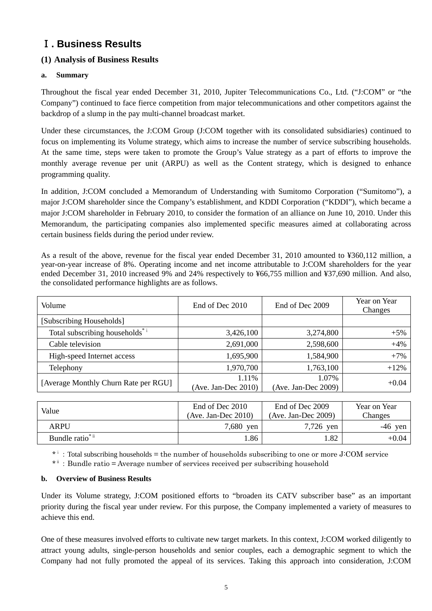## Ⅰ**. Business Results**

## **(1) Analysis of Business Results**

#### **a. Summary**

Throughout the fiscal year ended December 31, 2010, Jupiter Telecommunications Co., Ltd. ("J:COM" or "the Company") continued to face fierce competition from major telecommunications and other competitors against the backdrop of a slump in the pay multi-channel broadcast market.

Under these circumstances, the J:COM Group (J:COM together with its consolidated subsidiaries) continued to focus on implementing its Volume strategy, which aims to increase the number of service subscribing households. At the same time, steps were taken to promote the Group's Value strategy as a part of efforts to improve the monthly average revenue per unit (ARPU) as well as the Content strategy, which is designed to enhance programming quality.

In addition, J:COM concluded a Memorandum of Understanding with Sumitomo Corporation ("Sumitomo"), a major J:COM shareholder since the Company's establishment, and KDDI Corporation ("KDDI"), which became a major J:COM shareholder in February 2010, to consider the formation of an alliance on June 10, 2010. Under this Memorandum, the participating companies also implemented specific measures aimed at collaborating across certain business fields during the period under review.

As a result of the above, revenue for the fiscal year ended December 31, 2010 amounted to ¥360,112 million, a year-on-year increase of 8%. Operating income and net income attributable to J:COM shareholders for the year ended December 31, 2010 increased 9% and 24% respectively to ¥66,755 million and ¥37,690 million. And also, the consolidated performance highlights are as follows.

| Volume                                     | End of Dec 2010                 | End of Dec 2009              | Year on Year<br>Changes |
|--------------------------------------------|---------------------------------|------------------------------|-------------------------|
| [Subscribing Households]                   |                                 |                              |                         |
| Total subscribing households <sup>*i</sup> | 3,426,100                       | 3,274,800                    | $+5%$                   |
| Cable television                           | 2,691,000                       | 2,598,600                    | $+4%$                   |
| High-speed Internet access                 | 1,695,900                       | 1,584,900                    | $+7%$                   |
| Telephony                                  | 1,970,700                       | 1,763,100                    | $+12%$                  |
| [Average Monthly Churn Rate per RGU]       | 1.11%<br>(Ave. Jan-Dec $2010$ ) | 1.07%<br>(Ave. Jan-Dec 2009) | $+0.04$                 |

| Value                       | End of Dec 2010<br>$(Ave. Jan-Dec 2010)$ | End of Dec 2009<br>(Ave. Jan-Dec 2009) | Year on Year<br>Changes |
|-----------------------------|------------------------------------------|----------------------------------------|-------------------------|
| ARPU                        | 7,680 yen                                | 7,726 yen                              | $-46$ yen               |
| Bundle ratio <sup>*ii</sup> | l.86                                     | . 82                                   | $+0.04$                 |

\*<sup>i</sup>: Total subscribing households = the number of households subscribing to one or more J:COM service

\*ⅱ:Bundle ratio = Average number of services received per subscribing household

#### **b. Overview of Business Results**

Under its Volume strategy, J:COM positioned efforts to "broaden its CATV subscriber base" as an important priority during the fiscal year under review. For this purpose, the Company implemented a variety of measures to achieve this end.

One of these measures involved efforts to cultivate new target markets. In this context, J:COM worked diligently to attract young adults, single-person households and senior couples, each a demographic segment to which the Company had not fully promoted the appeal of its services. Taking this approach into consideration, J:COM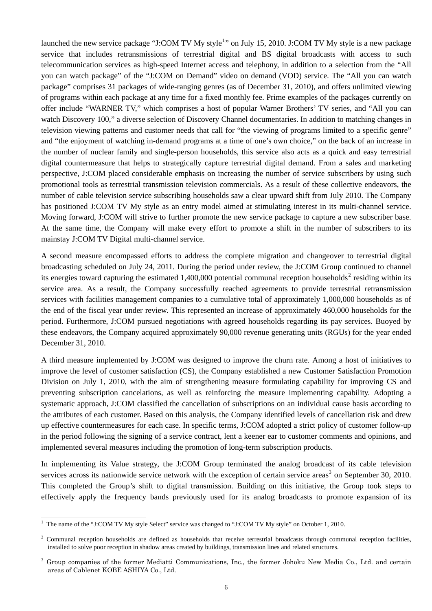launched the new service package "J:COM TV My style<sup>[1](#page-5-0)</sup>" on July 15, 2010. J:COM TV My style is a new package service that includes retransmissions of terrestrial digital and BS digital broadcasts with access to such telecommunication services as high-speed Internet access and telephony, in addition to a selection from the "All you can watch package" of the "J:COM on Demand" video on demand (VOD) service. The "All you can watch package" comprises 31 packages of wide-ranging genres (as of December 31, 2010), and offers unlimited viewing of programs within each package at any time for a fixed monthly fee. Prime examples of the packages currently on offer include "WARNER TV," which comprises a host of popular Warner Brothers' TV series, and "All you can watch Discovery 100," a diverse selection of Discovery Channel documentaries. In addition to matching changes in television viewing patterns and customer needs that call for "the viewing of programs limited to a specific genre" and "the enjoyment of watching in-demand programs at a time of one's own choice," on the back of an increase in the number of nuclear family and single-person households, this service also acts as a quick and easy terrestrial digital countermeasure that helps to strategically capture terrestrial digital demand. From a sales and marketing perspective, J:COM placed considerable emphasis on increasing the number of service subscribers by using such promotional tools as terrestrial transmission television commercials. As a result of these collective endeavors, the number of cable television service subscribing households saw a clear upward shift from July 2010. The Company has positioned J:COM TV My style as an entry model aimed at stimulating interest in its multi-channel service. Moving forward, J:COM will strive to further promote the new service package to capture a new subscriber base. At the same time, the Company will make every effort to promote a shift in the number of subscribers to its mainstay J:COM TV Digital multi-channel service.

A second measure encompassed efforts to address the complete migration and changeover to terrestrial digital broadcasting scheduled on July 24, 2011. During the period under review, the J:COM Group continued to channel its energies toward capturing the estimated 1,400,000 potential communal reception households<sup>[2](#page-5-1)</sup> residing within its service area. As a result, the Company successfully reached agreements to provide terrestrial retransmission services with facilities management companies to a cumulative total of approximately 1,000,000 households as of the end of the fiscal year under review. This represented an increase of approximately 460,000 households for the period. Furthermore, J:COM pursued negotiations with agreed households regarding its pay services. Buoyed by these endeavors, the Company acquired approximately 90,000 revenue generating units (RGUs) for the year ended December 31, 2010.

A third measure implemented by J:COM was designed to improve the churn rate. Among a host of initiatives to improve the level of customer satisfaction (CS), the Company established a new Customer Satisfaction Promotion Division on July 1, 2010, with the aim of strengthening measure formulating capability for improving CS and preventing subscription cancelations, as well as reinforcing the measure implementing capability. Adopting a systematic approach, J:COM classified the cancellation of subscriptions on an individual cause basis according to the attributes of each customer. Based on this analysis, the Company identified levels of cancellation risk and drew up effective countermeasures for each case. In specific terms, J:COM adopted a strict policy of customer follow-up in the period following the signing of a service contract, lent a keener ear to customer comments and opinions, and implemented several measures including the promotion of long-term subscription products.

In implementing its Value strategy, the J:COM Group terminated the analog broadcast of its cable television services across its nationwide service network with the exception of certain service areas<sup>[3](#page-6-0)</sup> on September 30, 2010. This completed the Group's shift to digital transmission. Building on this initiative, the Group took steps to effectively apply the frequency bands previously used for its analog broadcasts to promote expansion of its

<span id="page-5-0"></span><sup>&</sup>lt;sup>1</sup> The name of the "J:COM TV My style Select" service was changed to "J:COM TV My style" on October 1, 2010.

<span id="page-5-1"></span><sup>&</sup>lt;sup>2</sup> Communal reception households are defined as households that receive terrestrial broadcasts through communal reception facilities, installed to solve poor reception in shadow areas created by buildings, transmission lines and related structures.

<sup>&</sup>lt;sup>3</sup> Group companies of the former Mediatti Communications, Inc., the former Johoku New Media Co., Ltd. and certain areas of Cablenet KOBE ASHIYA Co., Ltd.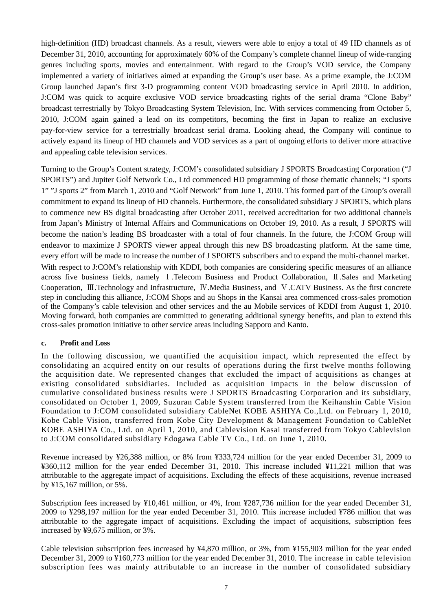high-definition (HD) broadcast channels. As a result, viewers were able to enjoy a total of 49 HD channels as of December 31, 2010, accounting for approximately 60% of the Company's complete channel lineup of wide-ranging genres including sports, movies and entertainment. With regard to the Group's VOD service, the Company implemented a variety of initiatives aimed at expanding the Group's user base. As a prime example, the J:COM Group launched Japan's first 3-D programming content VOD broadcasting service in April 2010. In addition, J:COM was quick to acquire exclusive VOD service broadcasting rights of the serial drama "Clone Baby" broadcast terrestrially by Tokyo Broadcasting System Television, Inc. With services commencing from October 5, 2010, J:COM again gained a lead on its competitors, becoming the first in Japan to realize an exclusive pay-for-view service for a terrestrially broadcast serial drama. Looking ahead, the Company will continue to actively expand its lineup of HD channels and VOD services as a part of ongoing efforts to deliver more attractive and appealing cable television services.

Turning to the Group's Content strategy, J:COM's consolidated subsidiary J SPORTS Broadcasting Corporation ("J SPORTS") and Jupiter Golf Network Co., Ltd commenced HD programming of those thematic channels; "J sports 1" "J sports 2" from March 1, 2010 and "Golf Network" from June 1, 2010. This formed part of the Group's overall commitment to expand its lineup of HD channels. Furthermore, the consolidated subsidiary J SPORTS, which plans to commence new BS digital broadcasting after October 2011, received accreditation for two additional channels from Japan's Ministry of Internal Affairs and Communications on October 19, 2010. As a result, J SPORTS will become the nation's leading BS broadcaster with a total of four channels. In the future, the J:COM Group will endeavor to maximize J SPORTS viewer appeal through this new BS broadcasting platform. At the same time, every effort will be made to increase the number of J SPORTS subscribers and to expand the multi-channel market. With respect to J:COM's relationship with KDDI, both companies are considering specific measures of an alliance across five business fields, namely Ⅰ.Telecom Business and Product Collaboration, Ⅱ.Sales and Marketing Cooperation, Ⅲ.Technology and Infrastructure, Ⅳ.Media Business, and Ⅴ.CATV Business. As the first concrete step in concluding this alliance, J:COM Shops and au Shops in the Kansai area commenced cross-sales promotion of the Company's cable television and other services and the au Mobile services of KDDI from August 1, 2010. Moving forward, both companies are committed to generating additional synergy benefits, and plan to extend this cross-sales promotion initiative to other service areas including Sapporo and Kanto.

#### **c. Profit and Loss**

In the following discussion, we quantified the acquisition impact, which represented the effect by consolidating an acquired entity on our results of operations during the first twelve months following the acquisition date. We represented changes that excluded the impact of acquisitions as changes at existing consolidated subsidiaries. Included as acquisition impacts in the below discussion of cumulative consolidated business results were J SPORTS Broadcasting Corporation and its subsidiary, consolidated on October 1, 2009, Suzuran Cable System transferred from the Keihanshin Cable Vision Foundation to J:COM consolidated subsidiary CableNet KOBE ASHIYA Co.,Ltd. on February 1, 2010, Kobe Cable Vision, transferred from Kobe City Development & Management Foundation to CableNet KOBE ASHIYA Co., Ltd. on April 1, 2010, and Cablevision Kasai transferred from Tokyo Cablevision to J:COM consolidated subsidiary Edogawa Cable TV Co., Ltd. on June 1, 2010.

Revenue increased by ¥26,388 million, or 8% from ¥333,724 million for the year ended December 31, 2009 to ¥360,112 million for the year ended December 31, 2010. This increase included ¥11,221 million that was attributable to the aggregate impact of acquisitions. Excluding the effects of these acquisitions, revenue increased by ¥15,167 million, or 5%.

Subscription fees increased by ¥10,461 million, or 4%, from ¥287,736 million for the year ended December 31, 2009 to ¥298,197 million for the year ended December 31, 2010. This increase included ¥786 million that was attributable to the aggregate impact of acquisitions. Excluding the impact of acquisitions, subscription fees increased by ¥9,675 million, or 3%.

<span id="page-6-0"></span>Cable television subscription fees increased by ¥4,870 million, or 3%, from ¥155,903 million for the year ended December 31, 2009 to ¥160,773 million for the year ended December 31, 2010. The increase in cable television subscription fees was mainly attributable to an increase in the number of consolidated subsidiary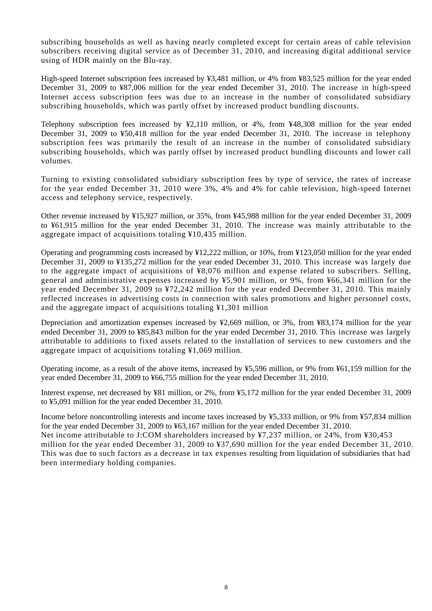subscribing households as well as having nearly completed except for certain areas of cable television subscribers receiving digital service as of December 31, 2010, and increasing digital additional service using of HDR mainly on the Blu-ray.

High-speed Internet subscription fees increased by ¥3,481 million, or 4% from ¥83,525 million for the year ended December 31, 2009 to ¥87,006 million for the year ended December 31, 2010. The increase in high-speed Internet access subscription fees was due to an increase in the number of consolidated subsidiary subscribing households, which was partly offset by increased product bundling discounts.

Telephony subscription fees increased by ¥2,110 million, or 4%, from ¥48,308 million for the year ended December 31, 2009 to ¥50,418 million for the year ended December 31, 2010. The increase in telephony subscription fees was primarily the result of an increase in the number of consolidated subsidiary subscribing households, which was partly offset by increased product bundling discounts and lower call volumes.

Turning to existing consolidated subsidiary subscription fees by type of service, the rates of increase for the year ended December 31, 2010 were 3%, 4% and 4% for cable television, high-speed Internet access and telephony service, respectively.

Other revenue increased by ¥15,927 million, or 35%, from ¥45,988 million for the year ended December 31, 2009 to ¥61,915 million for the year ended December 31, 2010. The increase was mainly attributable to the aggregate impact of acquisitions totaling ¥10,435 million.

Operating and programming costs increased by ¥12,222 million, or 10%, from ¥123,050 million for the year ended December 31, 2009 to ¥135,272 million for the year ended December 31, 2010. This increase was largely due to the aggregate impact of acquisitions of ¥8,076 million and expense related to subscribers. Selling, general and administrative expenses increased by ¥5,901 million, or 9%, from ¥66,341 million for the year ended December 31, 2009 to ¥72,242 million for the year ended December 31, 2010. This mainly reflected increases in advertising costs in connection with sales promotions and higher personnel costs, and the aggregate impact of acquisitions totaling ¥1,301 million

Depreciation and amortization expenses increased by ¥2,669 million, or 3%, from ¥83,174 million for the year ended December 31, 2009 to ¥85,843 million for the year ended December 31, 2010. This increase was largely attributable to additions to fixed assets related to the installation of services to new customers and the aggregate impact of acquisitions totaling ¥1,069 million.

Operating income, as a result of the above items, increased by ¥5,596 million, or 9% from ¥61,159 million for the year ended December 31, 2009 to ¥66,755 million for the year ended December 31, 2010. Í

Interest expense, net decreased by ¥81 million, or 2%, from ¥5,172 million for the year ended December 31, 2009 to ¥5,091 million for the year ended December 31, 2010.

Income before noncontrolling interests and income taxes increased by ¥5,333 million, or 9% from ¥57,834 million for the year ended December 31, 2009 to ¥63,167 million for the year ended December 31, 2010. Net income attributable to J:COM shareholders increased by ¥7,237 million, or 24%, from ¥30,453 million for the year ended December 31, 2009 to ¥37,690 million for the year ended December 31, 2010. This was due to such factors as a decrease in tax expenses resulting from liquidation of subsidiaries that had been intermediary holding companies.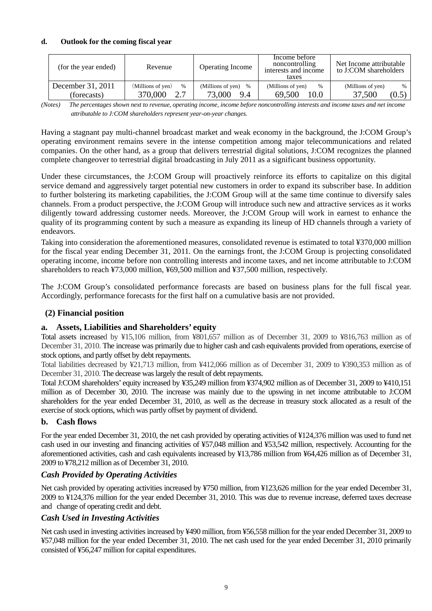#### **d. Outlook for the coming fiscal year**

| (for the year ended)             | Revenue                              | <b>Operating Income</b>                    | Income before<br>noncontrolling<br>interests and income<br>taxes | Net Income attributable<br>to J:COM shareholders |
|----------------------------------|--------------------------------------|--------------------------------------------|------------------------------------------------------------------|--------------------------------------------------|
| December 31, 2011<br>(forecasts) | (Millions of yen)<br>$\%$<br>370,000 | (Millions of yen)<br>$\%$<br>73,000<br>9.4 | (Millions of yen)<br>$\%$<br>10.0<br>69.500                      | (Millions of yen)<br>$\%$<br>37,500<br>(0.5)     |

*(Notes) The percentages shown next to revenue, operating income, income before noncontrolling interests and income taxes and net income attributable to J:COM shareholders represent year-on-year changes.* 

Having a stagnant pay multi-channel broadcast market and weak economy in the background, the J:COM Group's operating environment remains severe in the intense competition among major telecommunications and related companies. On the other hand, as a group that delivers terrestrial digital solutions, J:COM recognizes the planned complete changeover to terrestrial digital broadcasting in July 2011 as a significant business opportunity.

Under these circumstances, the J:COM Group will proactively reinforce its efforts to capitalize on this digital service demand and aggressively target potential new customers in order to expand its subscriber base. In addition to further bolstering its marketing capabilities, the J:COM Group will at the same time continue to diversify sales channels. From a product perspective, the J:COM Group will introduce such new and attractive services as it works diligently toward addressing customer needs. Moreover, the J:COM Group will work in earnest to enhance the quality of its programming content by such a measure as expanding its lineup of HD channels through a variety of endeavors.

Taking into consideration the aforementioned measures, consolidated revenue is estimated to total ¥370,000 million for the fiscal year ending December 31, 2011. On the earnings front, the J:COM Group is projecting consolidated operating income, income before non controlling interests and income taxes, and net income attributable to J:COM shareholders to reach ¥73,000 million, ¥69,500 million and ¥37,500 million, respectively.

The J:COM Group's consolidated performance forecasts are based on business plans for the full fiscal year. Accordingly, performance forecasts for the first half on a cumulative basis are not provided.

## **(2) Financial position**

#### **a. Assets, Liabilities and Shareholders' equity**

Total assets increased by ¥15,106 million, from ¥801,657 million as of December 31, 2009 to ¥816,763 million as of December 31, 2010. The increase was primarily due to higher cash and cash equivalents provided from operations, exercise of stock options, and partly offset by debt repayments.

Total liabilities decreased by ¥21,713 million, from ¥412,066 million as of December 31, 2009 to ¥390,353 million as of December 31, 2010. The decrease was largely the result of debt repayments.

Total J:COM shareholders' equity increased by ¥35,249 million from ¥374,902 million as of December 31, 2009 to ¥410,151 million as of December 30, 2010. The increase was mainly due to the upswing in net income attributable to J:COM shareholders for the year ended December 31, 2010, as well as the decrease in treasury stock allocated as a result of the exercise of stock options, which was partly offset by payment of dividend.

#### **b. Cash flows**

For the year ended December 31, 2010, the net cash provided by operating activities of ¥124,376 million was used to fund net cash used in our investing and financing activities of ¥57,048 million and ¥53,542 million, respectively. Accounting for the aforementioned activities, cash and cash equivalents increased by ¥13,786 million from ¥64,426 million as of December 31, 2009 to ¥78,212 million as of December 31, 2010.

## *Cash Provided by Operating Activities*

Net cash provided by operating activities increased by ¥750 million, from ¥123,626 million for the year ended December 31, 2009 to ¥124,376 million for the year ended December 31, 2010. This was due to revenue increase, deferred taxes decrease and change of operating credit and debt.

#### *Cash Used in Investing Activities*

Net cash used in investing activities increased by ¥490 million, from ¥56,558 million for the year ended December 31, 2009 to ¥57,048 million for the year ended December 31, 2010. The net cash used for the year ended December 31, 2010 primarily consisted of ¥56,247 million for capital expenditures.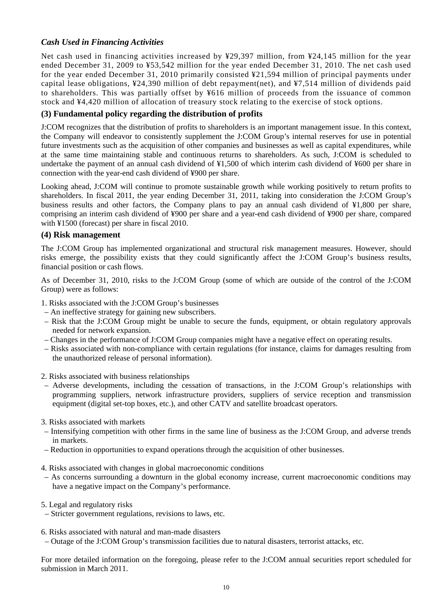## *Cash Used in Financing Activities*

Net cash used in financing activities increased by ¥29,397 million, from ¥24,145 million for the year ended December 31, 2009 to ¥53,542 million for the year ended December 31, 2010. The net cash used for the year ended December 31, 2010 primarily consisted ¥21,594 million of principal payments under capital lease obligations, ¥24,390 million of debt repayment(net), and ¥7,514 million of dividends paid to shareholders. This was partially offset by ¥616 million of proceeds from the issuance of common stock and ¥4,420 million of allocation of treasury stock relating to the exercise of stock options.

### **(3) Fundamental policy regarding the distribution of profits**

J:COM recognizes that the distribution of profits to shareholders is an important management issue. In this context, the Company will endeavor to consistently supplement the J:COM Group's internal reserves for use in potential future investments such as the acquisition of other companies and businesses as well as capital expenditures, while at the same time maintaining stable and continuous returns to shareholders. As such, J:COM is scheduled to undertake the payment of an annual cash dividend of ¥1,500 of which interim cash dividend of ¥600 per share in connection with the year-end cash dividend of ¥900 per share.

Looking ahead, J:COM will continue to promote sustainable growth while working positively to return profits to shareholders. In fiscal 2011, the year ending December 31, 2011, taking into consideration the J:COM Group's business results and other factors, the Company plans to pay an annual cash dividend of ¥1,800 per share, comprising an interim cash dividend of ¥900 per share and a year-end cash dividend of ¥900 per share, compared with ¥1500 (forecast) per share in fiscal 2010.

#### **(4) Risk management**

The J:COM Group has implemented organizational and structural risk management measures. However, should risks emerge, the possibility exists that they could significantly affect the J:COM Group's business results, financial position or cash flows.

As of December 31, 2010, risks to the J:COM Group (some of which are outside of the control of the J:COM Group) were as follows:

- 1. Risks associated with the J:COM Group's businesses
- An ineffective strategy for gaining new subscribers.
- Risk that the J:COM Group might be unable to secure the funds, equipment, or obtain regulatory approvals needed for network expansion.
- Changes in the performance of J:COM Group companies might have a negative effect on operating results.
- Risks associated with non-compliance with certain regulations (for instance, claims for damages resulting from the unauthorized release of personal information).
- 2. Risks associated with business relationships
- Adverse developments, including the cessation of transactions, in the J:COM Group's relationships with programming suppliers, network infrastructure providers, suppliers of service reception and transmission equipment (digital set-top boxes, etc.), and other CATV and satellite broadcast operators.
- 3. Risks associated with markets
- Intensifying competition with other firms in the same line of business as the J:COM Group, and adverse trends in markets.
- Reduction in opportunities to expand operations through the acquisition of other businesses.
- 4. Risks associated with changes in global macroeconomic conditions
- As concerns surrounding a downturn in the global economy increase, current macroeconomic conditions may have a negative impact on the Company's performance.
- 5. Legal and regulatory risks
- Stricter government regulations, revisions to laws, etc.
- 6. Risks associated with natural and man-made disasters
- Outage of the J:COM Group's transmission facilities due to natural disasters, terrorist attacks, etc.

For more detailed information on the foregoing, please refer to the J:COM annual securities report scheduled for submission in March 2011.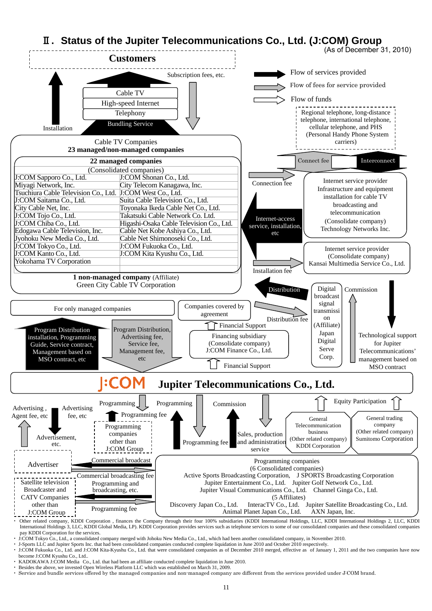

・ J:COM Tokyo Co., Ltd., a consolidated company merged with Johoku New Media Co., Ltd., which had been another consolidated company, in November 2010.

· J-Sports LLC and Jupiter Sports Inc. that had been consolidated companies conducted complete liquidation in June 2010 and October 2010 respectively.<br>· J:COM Fukuoka Co., Ltd. and J:COM Kita-Kyushu Co., Ltd. that were con become J:COM Kyushu Co., Ltd..

KADOKAWA J:COM Media Co., Ltd. that had been an affiliate conducted complete liquidation in June 2010.

Besides the above, we invested Open Wireless Platform LLC which was established on March 31, 2009.

・ Service and bundle services offered by the managed companies and non-managed company are different from the services provided under J:COM brand.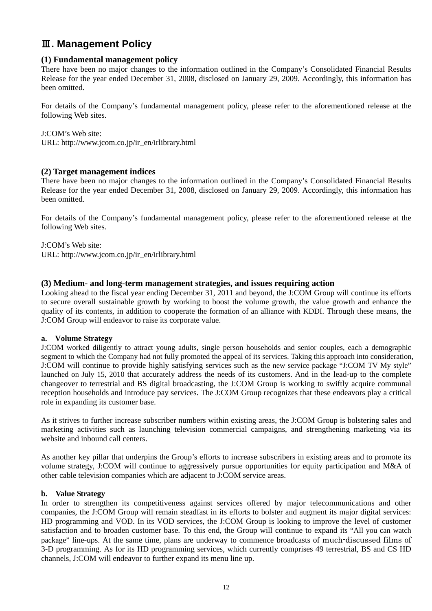## Ⅲ**. Management Policy**

#### **(1) Fundamental management policy**

There have been no major changes to the information outlined in the Company's Consolidated Financial Results Release for the year ended December 31, 2008, disclosed on January 29, 2009. Accordingly, this information has been omitted.

For details of the Company's fundamental management policy, please refer to the aforementioned release at the following Web sites.

J:COM's Web site: URL: http://www.jcom.co.jp/ir\_en/irlibrary.html

#### **(2) Target management indices**

There have been no major changes to the information outlined in the Company's Consolidated Financial Results Release for the year ended December 31, 2008, disclosed on January 29, 2009. Accordingly, this information has been omitted.

For details of the Company's fundamental management policy, please refer to the aforementioned release at the following Web sites.

J:COM's Web site: URL: http://www.jcom.co.jp/ir\_en/irlibrary.html

#### **(3) Medium- and long-term management strategies, and issues requiring action**

Looking ahead to the fiscal year ending December 31, 2011 and beyond, the J:COM Group will continue its efforts to secure overall sustainable growth by working to boost the volume growth, the value growth and enhance the quality of its contents, in addition to cooperate the formation of an alliance with KDDI. Through these means, the J:COM Group will endeavor to raise its corporate value.

#### **a. Volume Strategy**

J:COM worked diligently to attract young adults, single person households and senior couples, each a demographic segment to which the Company had not fully promoted the appeal of its services. Taking this approach into consideration, J:COM will continue to provide highly satisfying services such as the new service package "J:COM TV My style" launched on July 15, 2010 that accurately address the needs of its customers. And in the lead-up to the complete changeover to terrestrial and BS digital broadcasting, the J:COM Group is working to swiftly acquire communal reception households and introduce pay services. The J:COM Group recognizes that these endeavors play a critical role in expanding its customer base.

As it strives to further increase subscriber numbers within existing areas, the J:COM Group is bolstering sales and marketing activities such as launching television commercial campaigns, and strengthening marketing via its website and inbound call centers.

As another key pillar that underpins the Group's efforts to increase subscribers in existing areas and to promote its volume strategy, J:COM will continue to aggressively pursue opportunities for equity participation and M&A of other cable television companies which are adjacent to J:COM service areas.

#### **b. Value Strategy**

In order to strengthen its competitiveness against services offered by major telecommunications and other companies, the J:COM Group will remain steadfast in its efforts to bolster and augment its major digital services: HD programming and VOD. In its VOD services, the J:COM Group is looking to improve the level of customer satisfaction and to broaden customer base. To this end, the Group will continue to expand its "All you can watch package" line-ups. At the same time, plans are underway to commence broadcasts of much-discussed films of 3-D programming. As for its HD programming services, which currently comprises 49 terrestrial, BS and CS HD channels, J:COM will endeavor to further expand its menu line up.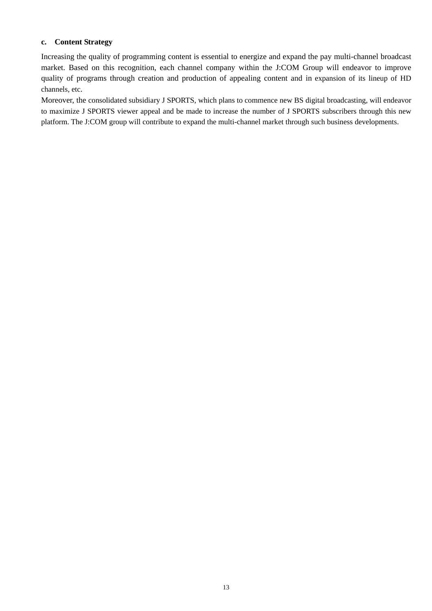#### **c. Content Strategy**

Increasing the quality of programming content is essential to energize and expand the pay multi-channel broadcast market. Based on this recognition, each channel company within the J:COM Group will endeavor to improve quality of programs through creation and production of appealing content and in expansion of its lineup of HD channels, etc.

Moreover, the consolidated subsidiary J SPORTS, which plans to commence new BS digital broadcasting, will endeavor to maximize J SPORTS viewer appeal and be made to increase the number of J SPORTS subscribers through this new platform. The J:COM group will contribute to expand the multi-channel market through such business developments.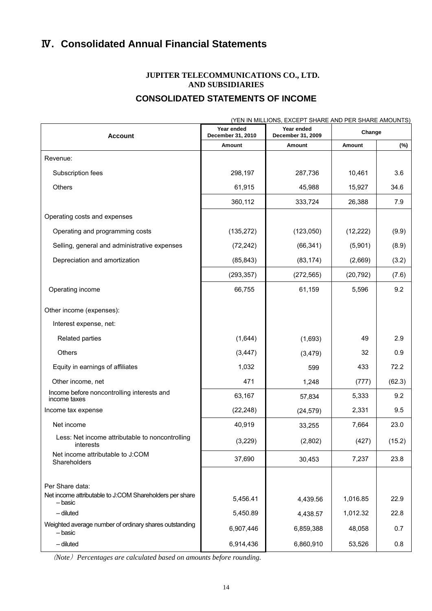## **CONSOLIDATED STATEMENTS OF INCOME**

| (YEN IN MILLIONS, EXCEPT SHARE AND PER SHARE AMOUNTS)                      |                                 |                                 |           |        |  |
|----------------------------------------------------------------------------|---------------------------------|---------------------------------|-----------|--------|--|
| <b>Account</b>                                                             | Year ended<br>December 31, 2010 | Year ended<br>December 31, 2009 | Change    |        |  |
|                                                                            | Amount                          | Amount                          | Amount    | (%)    |  |
| Revenue:                                                                   |                                 |                                 |           |        |  |
| Subscription fees                                                          | 298,197                         | 287,736                         | 10,461    | 3.6    |  |
| Others                                                                     | 61,915                          | 45,988                          | 15,927    | 34.6   |  |
|                                                                            | 360,112                         | 333,724                         | 26,388    | 7.9    |  |
| Operating costs and expenses                                               |                                 |                                 |           |        |  |
| Operating and programming costs                                            | (135, 272)                      | (123,050)                       | (12, 222) | (9.9)  |  |
| Selling, general and administrative expenses                               | (72, 242)                       | (66, 341)                       | (5,901)   | (8.9)  |  |
| Depreciation and amortization                                              | (85, 843)                       | (83, 174)                       | (2,669)   | (3.2)  |  |
|                                                                            | (293, 357)                      | (272, 565)                      | (20, 792) | (7.6)  |  |
| Operating income                                                           | 66,755                          | 61,159                          | 5,596     | 9.2    |  |
| Other income (expenses):                                                   |                                 |                                 |           |        |  |
| Interest expense, net:                                                     |                                 |                                 |           |        |  |
| Related parties                                                            | (1,644)                         | (1,693)                         | 49        | 2.9    |  |
| Others                                                                     | (3, 447)                        | (3, 479)                        | 32        | 0.9    |  |
| Equity in earnings of affiliates                                           | 1,032                           | 599                             | 433       | 72.2   |  |
| Other income, net                                                          | 471                             | 1,248                           | (777)     | (62.3) |  |
| Income before noncontrolling interests and<br>income taxes                 | 63,167                          | 57,834                          | 5,333     | 9.2    |  |
| Income tax expense                                                         | (22, 248)                       | (24, 579)                       | 2,331     | 9.5    |  |
| Net income                                                                 | 40,919                          | 33,255                          | 7,664     | 23.0   |  |
| Less: Net income attributable to noncontrolling<br>interests               | (3,229)                         | (2,802)                         | (427)     | (15.2) |  |
| Net income attributable to J:COM<br>Shareholders                           | 37,690                          | 30,453                          | 7,237     | 23.8   |  |
| Per Share data:<br>Net income attributable to J:COM Shareholders per share |                                 |                                 |           |        |  |
| – basic                                                                    | 5,456.41                        | 4,439.56                        | 1,016.85  | 22.9   |  |
| - diluted                                                                  | 5,450.89                        | 4,438.57                        | 1,012.32  | 22.8   |  |
| Weighted average number of ordinary shares outstanding<br>– basic          | 6,907,446                       | 6,859,388                       | 48,058    | 0.7    |  |
| - diluted                                                                  | 6,914,436                       | 6,860,910                       | 53,526    | 0.8    |  |

(*Note*)*Percentages are calculated based on amounts before rounding.*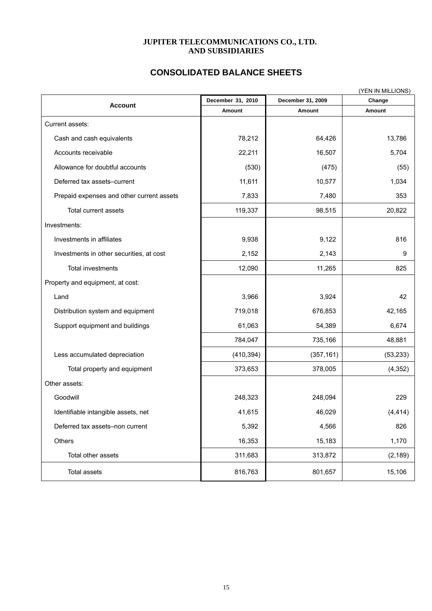## **CONSOLIDATED BALANCE SHEETS**

|                                           |                   |                   | (YEN IN MILLIONS) |
|-------------------------------------------|-------------------|-------------------|-------------------|
| <b>Account</b>                            | December 31, 2010 | December 31, 2009 | Change            |
|                                           | Amount            | Amount            | Amount            |
| Current assets:                           |                   |                   |                   |
| Cash and cash equivalents                 | 78,212            | 64,426            | 13,786            |
| Accounts receivable                       | 22,211            | 16,507            | 5,704             |
| Allowance for doubtful accounts           | (530)             | (475)             | (55)              |
| Deferred tax assets-current               | 11,611            | 10,577            | 1,034             |
| Prepaid expenses and other current assets | 7,833             | 7,480             | 353               |
| Total current assets                      | 119,337           | 98,515            | 20,822            |
| Investments:                              |                   |                   |                   |
| Investments in affiliates                 | 9,938             | 9,122             | 816               |
| Investments in other securities, at cost  | 2,152             | 2,143             | 9                 |
| Total investments                         | 12,090            | 11,265            | 825               |
| Property and equipment, at cost:          |                   |                   |                   |
| Land                                      | 3,966             | 3,924             | 42                |
| Distribution system and equipment         | 719,018           | 676,853           | 42,165            |
| Support equipment and buildings           | 61,063            | 54,389            | 6,674             |
|                                           | 784,047           | 735,166           | 48,881            |
| Less accumulated depreciation             | (410, 394)        | (357, 161)        | (53, 233)         |
| Total property and equipment              | 373,653           | 378,005           | (4, 352)          |
| Other assets:                             |                   |                   |                   |
| Goodwill                                  | 248,323           | 248,094           | 229               |
| Identifiable intangible assets, net       | 41,615            | 46,029            | (4, 414)          |
| Deferred tax assets-non current           | 5,392             | 4,566             | 826               |
| Others                                    | 16,353            | 15,183            | 1,170             |
| Total other assets                        | 311,683           | 313,872           | (2, 189)          |
| Total assets                              | 816,763           | 801,657           | 15,106            |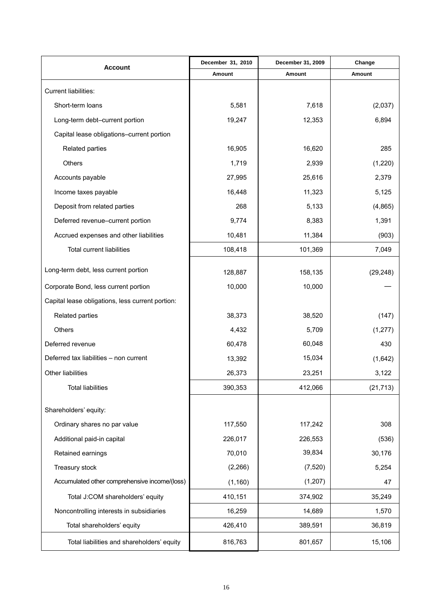| <b>Account</b>                                   | December 31, 2010 | December 31, 2009 | Change    |
|--------------------------------------------------|-------------------|-------------------|-----------|
|                                                  | Amount            | Amount            | Amount    |
| Current liabilities:                             |                   |                   |           |
| Short-term loans                                 | 5,581             | 7,618             | (2,037)   |
| Long-term debt-current portion                   | 19,247            | 12,353            | 6,894     |
| Capital lease obligations-current portion        |                   |                   |           |
| Related parties                                  | 16,905            | 16,620            | 285       |
| <b>Others</b>                                    | 1,719             | 2,939             | (1,220)   |
| Accounts payable                                 | 27,995            | 25,616            | 2,379     |
| Income taxes payable                             | 16,448            | 11,323            | 5,125     |
| Deposit from related parties                     | 268               | 5,133             | (4,865)   |
| Deferred revenue-current portion                 | 9,774             | 8,383             | 1,391     |
| Accrued expenses and other liabilities           | 10,481            | 11,384            | (903)     |
| <b>Total current liabilities</b>                 | 108,418           | 101,369           | 7,049     |
| Long-term debt, less current portion             | 128,887           | 158,135           | (29, 248) |
| Corporate Bond, less current portion             | 10,000            | 10,000            |           |
| Capital lease obligations, less current portion: |                   |                   |           |
| Related parties                                  | 38,373            | 38,520            | (147)     |
| Others                                           | 4,432             | 5,709             | (1, 277)  |
| Deferred revenue                                 | 60,478            | 60,048            | 430       |
| Deferred tax liabilities - non current           | 13,392            | 15,034            | (1,642)   |
| Other liabilities                                | 26,373            | 23,251            | 3,122     |
| <b>Total liabilities</b>                         | 390,353           | 412,066           | (21, 713) |
| Shareholders' equity:                            |                   |                   |           |
| Ordinary shares no par value                     | 117,550           | 117,242           | 308       |
| Additional paid-in capital                       | 226,017           | 226,553           | (536)     |
| Retained earnings                                | 70,010            | 39,834            | 30,176    |
| Treasury stock                                   | (2, 266)          | (7, 520)          | 5,254     |
| Accumulated other comprehensive income/(loss)    | (1, 160)          | (1, 207)          | 47        |
| Total J:COM shareholders' equity                 | 410,151           | 374,902           | 35,249    |
| Noncontrolling interests in subsidiaries         | 16,259            | 14,689            | 1,570     |
| Total shareholders' equity                       | 426,410           | 389,591           | 36,819    |
| Total liabilities and shareholders' equity       | 816,763           | 801,657           | 15,106    |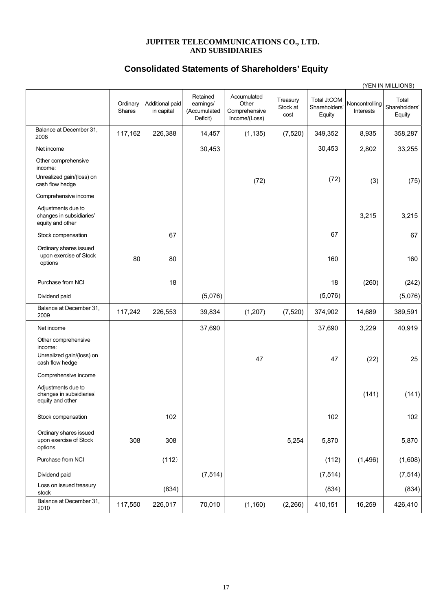## **Consolidated Statements of Shareholders' Equity**

|                                                                                |                    |                               |                                                   |                                                        |                              |                                        |                             | (YEN IN MILLIONS)                |
|--------------------------------------------------------------------------------|--------------------|-------------------------------|---------------------------------------------------|--------------------------------------------------------|------------------------------|----------------------------------------|-----------------------------|----------------------------------|
|                                                                                | Ordinary<br>Shares | Additional paid<br>in capital | Retained<br>earnings/<br>(Accumulated<br>Deficit) | Accumulated<br>Other<br>Comprehensive<br>Income/(Loss) | Treasury<br>Stock at<br>cost | Total J:COM<br>Shareholders'<br>Equity | Noncontrolling<br>Interests | Total<br>Shareholders'<br>Equity |
| Balance at December 31,<br>2008                                                | 117,162            | 226,388                       | 14,457                                            | (1, 135)                                               | (7, 520)                     | 349,352                                | 8,935                       | 358,287                          |
| Net income                                                                     |                    |                               | 30,453                                            |                                                        |                              | 30,453                                 | 2,802                       | 33,255                           |
| Other comprehensive<br>income:                                                 |                    |                               |                                                   |                                                        |                              |                                        |                             |                                  |
| Unrealized gain/(loss) on<br>cash flow hedge                                   |                    |                               |                                                   | (72)                                                   |                              | (72)                                   | (3)                         | (75)                             |
| Comprehensive income                                                           |                    |                               |                                                   |                                                        |                              |                                        |                             |                                  |
| Adjustments due to<br>changes in subsidiaries'<br>equity and other             |                    |                               |                                                   |                                                        |                              |                                        | 3,215                       | 3,215                            |
| Stock compensation                                                             |                    | 67                            |                                                   |                                                        |                              | 67                                     |                             | 67                               |
| Ordinary shares issued<br>upon exercise of Stock<br>options                    | 80                 | 80                            |                                                   |                                                        |                              | 160                                    |                             | 160                              |
| Purchase from NCI                                                              |                    | 18                            |                                                   |                                                        |                              | 18                                     | (260)                       | (242)                            |
| Dividend paid                                                                  |                    |                               | (5,076)                                           |                                                        |                              | (5,076)                                |                             | (5,076)                          |
| Balance at December 31,<br>2009                                                | 117,242            | 226,553                       | 39,834                                            | (1, 207)                                               | (7, 520)                     | 374,902                                | 14,689                      | 389,591                          |
| Net income                                                                     |                    |                               | 37,690                                            |                                                        |                              | 37,690                                 | 3,229                       | 40,919                           |
| Other comprehensive<br>income:<br>Unrealized gain/(loss) on<br>cash flow hedge |                    |                               |                                                   | 47                                                     |                              | 47                                     | (22)                        | 25                               |
| Comprehensive income                                                           |                    |                               |                                                   |                                                        |                              |                                        |                             |                                  |
| Adjustments due to<br>changes in subsidiaries'<br>equity and other             |                    |                               |                                                   |                                                        |                              |                                        | (141)                       | (141)                            |
| Stock compensation                                                             |                    | 102                           |                                                   |                                                        |                              | 102                                    |                             | 102                              |
| Ordinary shares issued<br>upon exercise of Stock<br>options                    | 308                | 308                           |                                                   |                                                        | 5,254                        | 5,870                                  |                             | 5,870                            |
| Purchase from NCI                                                              |                    | (112)                         |                                                   |                                                        |                              | (112)                                  | (1, 496)                    | (1,608)                          |
| Dividend paid                                                                  |                    |                               | (7, 514)                                          |                                                        |                              | (7, 514)                               |                             | (7, 514)                         |
| Loss on issued treasury<br>stock                                               |                    | (834)                         |                                                   |                                                        |                              | (834)                                  |                             | (834)                            |
| Balance at December 31,<br>2010                                                | 117,550            | 226,017                       | 70,010                                            | (1, 160)                                               | (2, 266)                     | 410,151                                | 16,259                      | 426,410                          |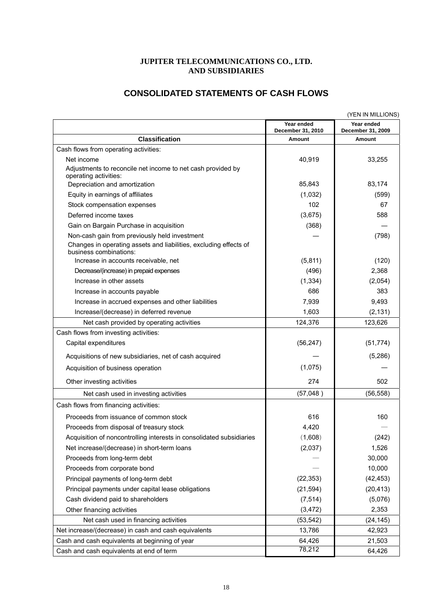## **CONSOLIDATED STATEMENTS OF CASH FLOWS**

|                                                                                             |                                 | (YEN IN MILLIONS)               |
|---------------------------------------------------------------------------------------------|---------------------------------|---------------------------------|
|                                                                                             | Year ended<br>December 31, 2010 | Year ended<br>December 31, 2009 |
| <b>Classification</b>                                                                       | Amount                          | Amount                          |
| Cash flows from operating activities:                                                       |                                 |                                 |
| Net income                                                                                  | 40,919                          | 33,255                          |
| Adjustments to reconcile net income to net cash provided by<br>operating activities:        |                                 |                                 |
| Depreciation and amortization                                                               | 85,843                          | 83,174                          |
| Equity in earnings of affiliates                                                            | (1,032)                         | (599)                           |
| Stock compensation expenses                                                                 | 102                             | 67                              |
| Deferred income taxes                                                                       | (3,675)                         | 588                             |
| Gain on Bargain Purchase in acquisition                                                     | (368)                           |                                 |
| Non-cash gain from previously held investment                                               |                                 | (798)                           |
| Changes in operating assets and liabilities, excluding effects of<br>business combinations: |                                 |                                 |
| Increase in accounts receivable, net                                                        | (5,811)                         | (120)                           |
| Decrease/(increase) in prepaid expenses                                                     | (496)                           | 2,368                           |
| Increase in other assets                                                                    | (1, 334)                        | (2,054)                         |
| Increase in accounts payable                                                                | 686                             | 383                             |
| Increase in accrued expenses and other liabilities                                          | 7,939                           | 9,493                           |
| Increase/(decrease) in deferred revenue                                                     | 1,603                           | (2, 131)                        |
| Net cash provided by operating activities                                                   | 124,376                         | 123,626                         |
| Cash flows from investing activities:                                                       |                                 |                                 |
| Capital expenditures                                                                        | (56, 247)                       | (51, 774)                       |
| Acquisitions of new subsidiaries, net of cash acquired                                      |                                 | (5,286)                         |
| Acquisition of business operation                                                           | (1,075)                         |                                 |
| Other investing activities                                                                  | 274                             | 502                             |
| Net cash used in investing activities                                                       | (57,048)                        | (56, 558)                       |
| Cash flows from financing activities:                                                       |                                 |                                 |
| Proceeds from issuance of common stock                                                      | 616                             | 160                             |
| Proceeds from disposal of treasury stock                                                    | 4,420                           |                                 |
| Acquisition of noncontrolling interests in consolidated subsidiaries                        | (1,608)                         | (242)                           |
| Net increase/(decrease) in short-term loans                                                 | (2,037)                         | 1,526                           |
| Proceeds from long-term debt                                                                |                                 | 30,000                          |
| Proceeds from corporate bond                                                                |                                 | 10,000                          |
| Principal payments of long-term debt                                                        | (22, 353)                       | (42, 453)                       |
| Principal payments under capital lease obligations                                          | (21, 594)                       | (20, 413)                       |
| Cash dividend paid to shareholders                                                          | (7, 514)                        | (5,076)                         |
| Other financing activities                                                                  | (3, 472)                        | 2,353                           |
| Net cash used in financing activities                                                       | (53, 542)                       | (24, 145)                       |
| Net increase/(decrease) in cash and cash equivalents                                        | 13,786                          | 42,923                          |
| Cash and cash equivalents at beginning of year                                              | 64,426                          | 21,503                          |
| Cash and cash equivalents at end of term                                                    | 78,212                          | 64,426                          |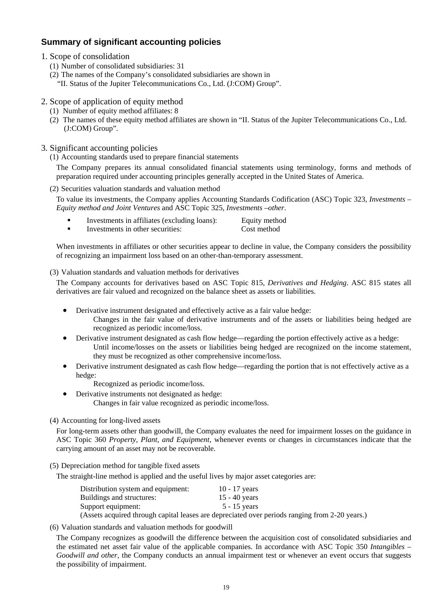## **Summary of significant accounting policies**

- 1. Scope of consolidation
	- (1) Number of consolidated subsidiaries: 31
	- (2) The names of the Company's consolidated subsidiaries are shown in
		- "II. Status of the Jupiter Telecommunications Co., Ltd. (J:COM) Group".
- 2. Scope of application of equity method
	- (1) Number of equity method affiliates: 8
	- (2) The names of these equity method affiliates are shown in "II. Status of the Jupiter Telecommunications Co., Ltd. (J:COM) Group".
- 3. Significant accounting policies
	- (1) Accounting standards used to prepare financial statements

The Company prepares its annual consolidated financial statements using terminology, forms and methods of preparation required under accounting principles generally accepted in the United States of America.

(2) Securities valuation standards and valuation method

To value its investments, the Company applies Accounting Standards Codification (ASC) Topic 323, *Investments – Equity method and Joint Ventures* and ASC Topic 325, *Investments –other*.

- Investments in affiliates (excluding loans): Equity method
- Investments in other securities: Cost method

When investments in affiliates or other securities appear to decline in value, the Company considers the possibility of recognizing an impairment loss based on an other-than-temporary assessment.

#### (3) Valuation standards and valuation methods for derivatives

The Company accounts for derivatives based on ASC Topic 815, *Derivatives and Hedging*. ASC 815 states all derivatives are fair valued and recognized on the balance sheet as assets or liabilities.

- Derivative instrument designated and effectively active as a fair value hedge: Changes in the fair value of derivative instruments and of the assets or liabilities being hedged are recognized as periodic income/loss.
- Derivative instrument designated as cash flow hedge—regarding the portion effectively active as a hedge: Until income/losses on the assets or liabilities being hedged are recognized on the income statement, they must be recognized as other comprehensive income/loss.
- Derivative instrument designated as cash flow hedge—regarding the portion that is not effectively active as a hedge:
	- Recognized as periodic income/loss.
- Derivative instruments not designated as hedge: Changes in fair value recognized as periodic income/loss.
- (4) Accounting for long-lived assets

For long-term assets other than goodwill, the Company evaluates the need for impairment losses on the guidance in ASC Topic 360 *Property, Plant, and Equipment*, whenever events or changes in circumstances indicate that the carrying amount of an asset may not be recoverable.

(5) Depreciation method for tangible fixed assets

The straight-line method is applied and the useful lives by major asset categories are:

| Distribution system and equipment:                                    | $10 - 17$ years |
|-----------------------------------------------------------------------|-----------------|
| Buildings and structures:                                             | 15 - 40 years   |
| Support equipment:                                                    | $5 - 15$ years  |
| $\Lambda$ sects acquired through central leases are depressioned over |                 |

(Assets acquired through capital leases are depreciated over periods ranging from 2-20 years.)

(6) Valuation standards and valuation methods for goodwill

The Company recognizes as goodwill the difference between the acquisition cost of consolidated subsidiaries and the estimated net asset fair value of the applicable companies. In accordance with ASC Topic 350 *Intangibles – Goodwill and other*, the Company conducts an annual impairment test or whenever an event occurs that suggests the possibility of impairment.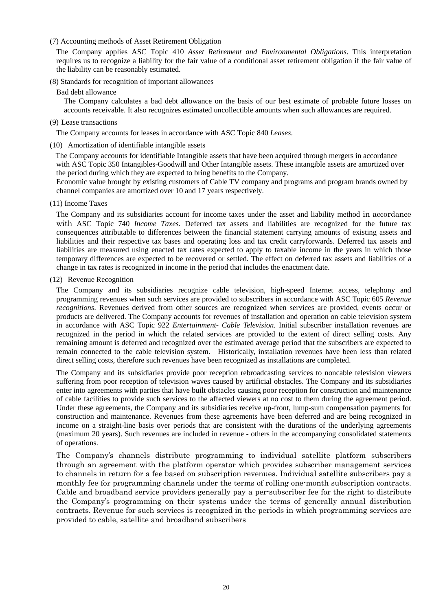#### (7) Accounting methods of Asset Retirement Obligation

The Company applies ASC Topic 410 *Asset Retirement and Environmental Obligations*. This interpretation requires us to recognize a liability for the fair value of a conditional asset retirement obligation if the fair value of the liability can be reasonably estimated.

#### (8) Standards for recognition of important allowances

Bad debt allowance

The Company calculates a bad debt allowance on the basis of our best estimate of probable future losses on accounts receivable. It also recognizes estimated uncollectible amounts when such allowances are required.

(9) Lease transactions

The Company accounts for leases in accordance with ASC Topic 840 *Leases*.

(10) Amortization of identifiable intangible assets

 The Company accounts for identifiable Intangible assets that have been acquired through mergers in accordance with ASC Topic 350 Intangibles-Goodwill and Other Intangible assets. These intangible assets are amortized over the period during which they are expected to bring benefits to the Company.

Economic value brought by existing customers of Cable TV company and programs and program brands owned by channel companies are amortized over 10 and 17 years respectively.

(11) Income Taxes

The Company and its subsidiaries account for income taxes under the asset and liability method in accordance with ASC Topic 740 *Income Taxes*. Deferred tax assets and liabilities are recognized for the future tax consequences attributable to differences between the financial statement carrying amounts of existing assets and liabilities and their respective tax bases and operating loss and tax credit carryforwards. Deferred tax assets and liabilities are measured using enacted tax rates expected to apply to taxable income in the years in which those temporary differences are expected to be recovered or settled. The effect on deferred tax assets and liabilities of a change in tax rates is recognized in income in the period that includes the enactment date.

(12) Revenue Recognition

The Company and its subsidiaries recognize cable television, high-speed Internet access, telephony and programming revenues when such services are provided to subscribers in accordance with ASC Topic 605 *Revenue recognitions*. Revenues derived from other sources are recognized when services are provided, events occur or products are delivered. The Company accounts for revenues of installation and operation on cable television system in accordance with ASC Topic 922 *Entertainment- Cable Television.* Initial subscriber installation revenues are recognized in the period in which the related services are provided to the extent of direct selling costs. Any remaining amount is deferred and recognized over the estimated average period that the subscribers are expected to remain connected to the cable television system. Historically, installation revenues have been less than related direct selling costs, therefore such revenues have been recognized as installations are completed.

The Company and its subsidiaries provide poor reception rebroadcasting services to noncable television viewers suffering from poor reception of television waves caused by artificial obstacles. The Company and its subsidiaries enter into agreements with parties that have built obstacles causing poor reception for construction and maintenance of cable facilities to provide such services to the affected viewers at no cost to them during the agreement period. Under these agreements, the Company and its subsidiaries receive up-front, lump-sum compensation payments for construction and maintenance. Revenues from these agreements have been deferred and are being recognized in income on a straight-line basis over periods that are consistent with the durations of the underlying agreements (maximum 20 years). Such revenues are included in revenue - others in the accompanying consolidated statements of operations.

The Company's channels distribute programming to individual satellite platform subscribers through an agreement with the platform operator which provides subscriber management services to channels in return for a fee based on subscription revenues. Individual satellite subscribers pay a monthly fee for programming channels under the terms of rolling one-month subscription contracts. Cable and broadband service providers generally pay a per-subscriber fee for the right to distribute the Company's programming on their systems under the terms of generally annual distribution contracts. Revenue for such services is recognized in the periods in which programming services are provided to cable, satellite and broadband subscribers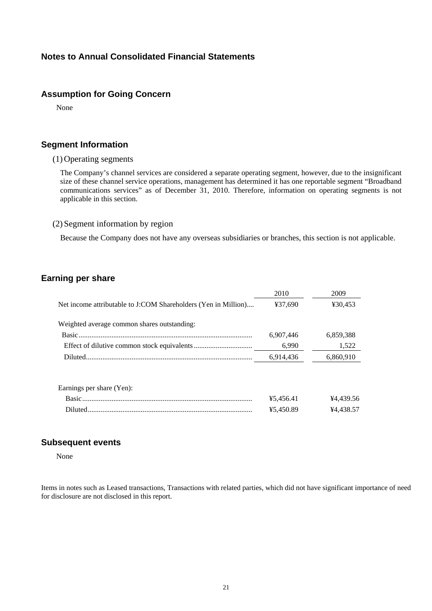### **Notes to Annual Consolidated Financial Statements**

#### **Assumption for Going Concern**

None

#### **Segment Information**

#### (1) Operating segments

The Company's channel services are considered a separate operating segment, however, due to the insignificant size of these channel service operations, management has determined it has one reportable segment "Broadband communications services" as of December 31, 2010. Therefore, information on operating segments is not applicable in this section.

#### (2) Segment information by region

Because the Company does not have any overseas subsidiaries or branches, this section is not applicable.

#### **Earning per share**

|                                                                | 2010      | 2009      |
|----------------------------------------------------------------|-----------|-----------|
| Net income attributable to J:COM Shareholders (Yen in Million) | ¥37.690   | ¥30.453   |
| Weighted average common shares outstanding:                    |           |           |
|                                                                | 6,907,446 | 6,859,388 |
|                                                                | 6.990     | 1,522     |
|                                                                | 6,914,436 | 6,860,910 |
| Earnings per share (Yen):                                      |           |           |
| Basic.                                                         | ¥5.456.41 | ¥4,439.56 |
|                                                                | ¥5.450.89 | ¥4,438.57 |

#### **Subsequent events**

None

Items in notes such as Leased transactions, Transactions with related parties, which did not have significant importance of need for disclosure are not disclosed in this report.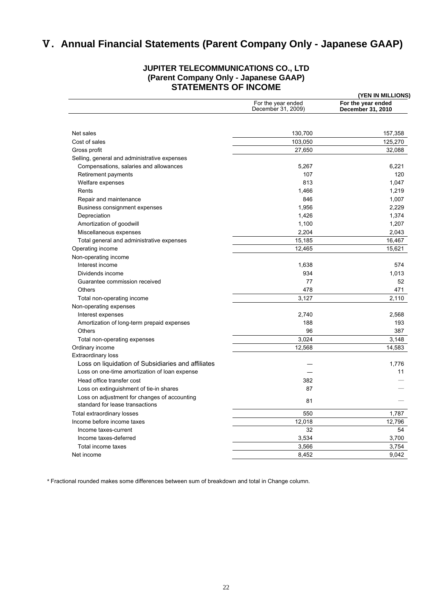# Ⅴ**. Annual Financial Statements (Parent Company Only - Japanese GAAP)**

#### **JUPITER TELECOMMUNICATIONS CO., LTD (Parent Company Only - Japanese GAAP) STATEMENTS OF INCOME**

|                                                    | (YEN IN MILLIONS)                        |                                         |
|----------------------------------------------------|------------------------------------------|-----------------------------------------|
|                                                    | For the year ended<br>December 31, 2009) | For the year ended<br>December 31, 2010 |
|                                                    |                                          |                                         |
| Net sales                                          | 130,700                                  | 157,358                                 |
| Cost of sales                                      | 103,050                                  | 125,270                                 |
| Gross profit                                       | 27,650                                   | 32,088                                  |
| Selling, general and administrative expenses       |                                          |                                         |
| Compensations, salaries and allowances             | 5,267                                    | 6,221                                   |
| Retirement payments                                | 107                                      | 120                                     |
| Welfare expenses                                   | 813                                      | 1,047                                   |
| Rents                                              | 1,466                                    | 1,219                                   |
| Repair and maintenance                             | 846                                      | 1,007                                   |
| Business consignment expenses                      | 1,956                                    | 2,229                                   |
| Depreciation                                       | 1,426                                    | 1,374                                   |
| Amortization of goodwill                           | 1,100                                    | 1,207                                   |
| Miscellaneous expenses                             | 2,204                                    | 2,043                                   |
| Total general and administrative expenses          | 15,185                                   | 16,467                                  |
| Operating income                                   | 12,465                                   | 15,621                                  |
| Non-operating income                               |                                          |                                         |
| Interest income                                    | 1,638                                    | 574                                     |
| Dividends income                                   | 934                                      | 1,013                                   |
| Guarantee commission received                      | 77                                       | 52                                      |
| <b>Others</b>                                      | 478                                      | 471                                     |
| Total non-operating income                         | 3,127                                    | 2,110                                   |
| Non-operating expenses                             |                                          |                                         |
| Interest expenses                                  | 2,740                                    | 2,568                                   |
| Amortization of long-term prepaid expenses         | 188                                      | 193                                     |
| <b>Others</b>                                      | 96                                       | 387                                     |
| Total non-operating expenses                       | 3,024                                    | 3,148                                   |
| Ordinary income                                    | 12,568                                   | 14,583                                  |
| <b>Extraordinary loss</b>                          |                                          |                                         |
| Loss on liquidation of Subsidiaries and affiliates |                                          | 1,776                                   |
| Loss on one-time amortization of loan expense      |                                          | 11                                      |
| Head office transfer cost                          | 382                                      |                                         |
| Loss on extinguishment of tie-in shares            | 87                                       |                                         |
| Loss on adjustment for changes of accounting       |                                          |                                         |
| standard for lease transactions                    | 81                                       |                                         |
| Total extraordinary losses                         | 550                                      | 1,787                                   |
| Income before income taxes                         | 12,018                                   | 12,796                                  |
| Income taxes-current                               | 32                                       | 54                                      |
| Income taxes-deferred                              | 3,534                                    | 3,700                                   |
| Total income taxes                                 | 3,566                                    | 3,754                                   |
| Net income                                         | 8,452                                    | 9,042                                   |

*\** Fractional rounded makes some differences between sum of breakdown and total in Change column.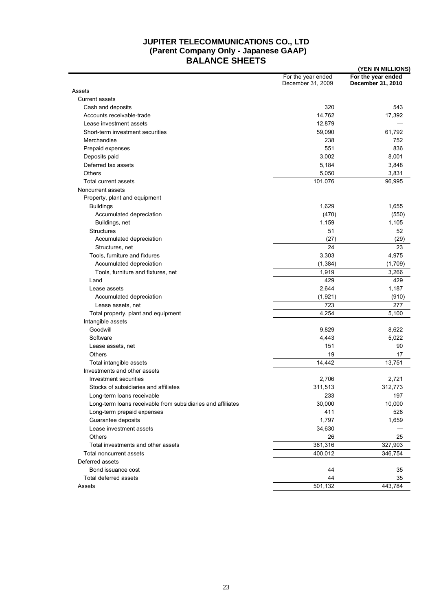## **JUPITER TELECOMMUNICATIONS CO., LTD (Parent Company Only - Japanese GAAP) BALANCE SHEETS (YEN IN MILLIONS)**

|                                                             |                                         | (TEN IN MILLIUNS)                       |
|-------------------------------------------------------------|-----------------------------------------|-----------------------------------------|
|                                                             | For the year ended<br>December 31, 2009 | For the year ended<br>December 31, 2010 |
| Assets                                                      |                                         |                                         |
| <b>Current assets</b>                                       |                                         |                                         |
| Cash and deposits                                           | 320                                     | 543                                     |
| Accounts receivable-trade                                   | 14,762                                  | 17,392                                  |
| Lease investment assets                                     | 12,879                                  |                                         |
| Short-term investment securities                            | 59,090                                  | 61,792                                  |
| Merchandise                                                 | 238                                     | 752                                     |
| Prepaid expenses                                            | 551                                     | 836                                     |
| Deposits paid                                               | 3,002                                   | 8,001                                   |
| Deferred tax assets                                         | 5,184                                   | 3,848                                   |
| Others                                                      | 5,050                                   | 3,831                                   |
| Total current assets                                        | 101,076                                 | 96,995                                  |
| Noncurrent assets                                           |                                         |                                         |
| Property, plant and equipment                               |                                         |                                         |
| <b>Buildings</b>                                            | 1,629                                   | 1,655                                   |
| Accumulated depreciation                                    | (470)                                   | (550)                                   |
| Buildings, net                                              | 1,159                                   | 1,105                                   |
| <b>Structures</b>                                           | 51                                      | 52                                      |
| Accumulated depreciation                                    | (27)                                    | (29)                                    |
| Structures, net                                             | 24                                      | 23                                      |
| Tools, furniture and fixtures                               | 3,303                                   | 4,975                                   |
| Accumulated depreciation                                    | (1, 384)                                | (1,709)                                 |
| Tools, furniture and fixtures, net                          | 1,919                                   | 3,266                                   |
| Land                                                        | 429                                     | 429                                     |
| Lease assets                                                | 2,644                                   | 1,187                                   |
|                                                             |                                         |                                         |
| Accumulated depreciation                                    | (1,921)                                 | (910)                                   |
| Lease assets, net                                           | 723                                     | 277                                     |
| Total property, plant and equipment                         | 4,254                                   | 5,100                                   |
| Intangible assets                                           |                                         |                                         |
| Goodwill                                                    | 9,829                                   | 8,622                                   |
| Software                                                    | 4,443                                   | 5,022                                   |
| Lease assets, net                                           | 151                                     | 90                                      |
| <b>Others</b>                                               | 19                                      | 17                                      |
| Total intangible assets                                     | 14,442                                  | 13,751                                  |
| Investments and other assets                                |                                         |                                         |
| Investment securities                                       | 2,706                                   | 2,721                                   |
| Stocks of subsidiaries and affiliates                       | 311,513                                 | 312,773                                 |
| Long-term loans receivable                                  | 233                                     | 197                                     |
| Long-term loans receivable from subsidiaries and affiliates | 30,000                                  | 10,000                                  |
| Long-term prepaid expenses                                  | 411                                     | 528                                     |
| Guarantee deposits                                          | 1,797                                   | 1,659                                   |
| Lease investment assets                                     | 34,630                                  |                                         |
| <b>Others</b>                                               | 26                                      | 25                                      |
| Total investments and other assets                          | 381,316                                 | 327,903                                 |
| Total noncurrent assets                                     | 400,012                                 | 346,754                                 |
| Deferred assets                                             |                                         |                                         |
| Bond issuance cost                                          | 44                                      | 35                                      |
| Total deferred assets                                       | 44                                      | 35                                      |
| Assets                                                      | 501,132                                 | 443,784                                 |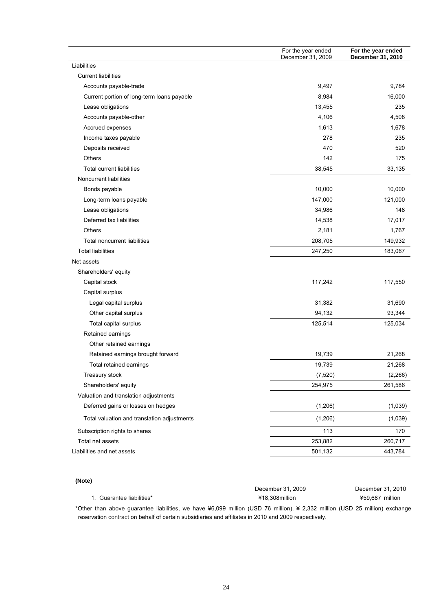| Liabilities<br><b>Current liabilities</b><br>Accounts payable-trade<br>Current portion of long-term loans payable<br>Lease obligations<br>Accounts payable-other<br>Accrued expenses<br>Income taxes payable<br>Deposits received<br><b>Others</b><br><b>Total current liabilities</b><br>Noncurrent liabilities<br>Bonds payable<br>Long-term loans payable<br>Lease obligations<br>Deferred tax liabilities |          |          |
|---------------------------------------------------------------------------------------------------------------------------------------------------------------------------------------------------------------------------------------------------------------------------------------------------------------------------------------------------------------------------------------------------------------|----------|----------|
|                                                                                                                                                                                                                                                                                                                                                                                                               |          |          |
|                                                                                                                                                                                                                                                                                                                                                                                                               |          |          |
|                                                                                                                                                                                                                                                                                                                                                                                                               | 9,497    | 9,784    |
|                                                                                                                                                                                                                                                                                                                                                                                                               | 8,984    | 16,000   |
|                                                                                                                                                                                                                                                                                                                                                                                                               | 13,455   | 235      |
|                                                                                                                                                                                                                                                                                                                                                                                                               | 4,106    | 4,508    |
|                                                                                                                                                                                                                                                                                                                                                                                                               | 1,613    | 1,678    |
|                                                                                                                                                                                                                                                                                                                                                                                                               | 278      | 235      |
|                                                                                                                                                                                                                                                                                                                                                                                                               | 470      | 520      |
|                                                                                                                                                                                                                                                                                                                                                                                                               | 142      | 175      |
|                                                                                                                                                                                                                                                                                                                                                                                                               | 38,545   | 33,135   |
|                                                                                                                                                                                                                                                                                                                                                                                                               |          |          |
|                                                                                                                                                                                                                                                                                                                                                                                                               | 10,000   | 10,000   |
|                                                                                                                                                                                                                                                                                                                                                                                                               | 147,000  | 121,000  |
|                                                                                                                                                                                                                                                                                                                                                                                                               | 34,986   | 148      |
|                                                                                                                                                                                                                                                                                                                                                                                                               | 14,538   | 17,017   |
| <b>Others</b>                                                                                                                                                                                                                                                                                                                                                                                                 | 2,181    | 1,767    |
| <b>Total noncurrent liabilities</b>                                                                                                                                                                                                                                                                                                                                                                           | 208,705  | 149,932  |
| <b>Total liabilities</b>                                                                                                                                                                                                                                                                                                                                                                                      | 247,250  | 183,067  |
| Net assets                                                                                                                                                                                                                                                                                                                                                                                                    |          |          |
| Shareholders' equity                                                                                                                                                                                                                                                                                                                                                                                          |          |          |
| Capital stock                                                                                                                                                                                                                                                                                                                                                                                                 | 117,242  | 117,550  |
| Capital surplus                                                                                                                                                                                                                                                                                                                                                                                               |          |          |
| Legal capital surplus                                                                                                                                                                                                                                                                                                                                                                                         | 31,382   | 31,690   |
| Other capital surplus                                                                                                                                                                                                                                                                                                                                                                                         | 94,132   | 93,344   |
| Total capital surplus                                                                                                                                                                                                                                                                                                                                                                                         | 125,514  | 125,034  |
| Retained earnings                                                                                                                                                                                                                                                                                                                                                                                             |          |          |
| Other retained earnings                                                                                                                                                                                                                                                                                                                                                                                       |          |          |
| Retained earnings brought forward                                                                                                                                                                                                                                                                                                                                                                             | 19,739   | 21,268   |
| Total retained earnings                                                                                                                                                                                                                                                                                                                                                                                       | 19,739   | 21,268   |
| Treasury stock                                                                                                                                                                                                                                                                                                                                                                                                | (7, 520) | (2, 266) |
| Shareholders' equity                                                                                                                                                                                                                                                                                                                                                                                          | 254,975  | 261,586  |
| Valuation and translation adjustments                                                                                                                                                                                                                                                                                                                                                                         |          |          |
| Deferred gains or losses on hedges                                                                                                                                                                                                                                                                                                                                                                            | (1,206)  | (1,039)  |
| Total valuation and translation adjustments                                                                                                                                                                                                                                                                                                                                                                   | (1,206)  | (1,039)  |
| Subscription rights to shares                                                                                                                                                                                                                                                                                                                                                                                 | 113      | 170      |
| Total net assets                                                                                                                                                                                                                                                                                                                                                                                              | 253,882  | 260,717  |
| Liabilities and net assets                                                                                                                                                                                                                                                                                                                                                                                    | 501,132  | 443,784  |

#### **(Note)**

|                           | December 31, 2009                                                                                                          | December 31, 2010 |
|---------------------------|----------------------------------------------------------------------------------------------------------------------------|-------------------|
| 1. Guarantee liabilities* | ¥18.308million                                                                                                             | ¥59.687 million   |
|                           | thar than above quarantee liqbilities, we have X6,000 million (LISD 76 million), X 2,332 million (LISD 25 million) oxchang |                   |

\*Other than above guarantee liabilities, we have ¥6,099 million (USD 76 million), ¥ 2,332 million (USD 25 million) [exchange](javascript:goWordLink(%22exchange%22)) [reservation](javascript:goWordLink(%22reservation%22)) contract on behalf of certain subsidiaries and affiliates in 2010 and 2009 respectively.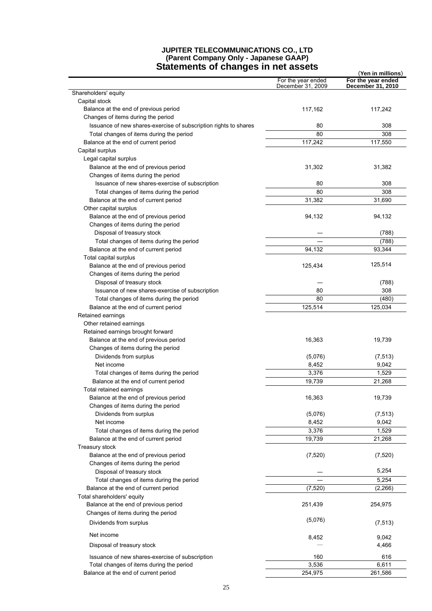## **JUPITER TELECOMMUNICATIONS CO., LTD (Parent Company Only - Japanese GAAP)**

| <b>Statements of changes in net assets</b>                       |                                         | (Yen in millions)                       |
|------------------------------------------------------------------|-----------------------------------------|-----------------------------------------|
|                                                                  | For the year ended<br>December 31, 2009 | For the year ended<br>December 31, 2010 |
| Shareholders' equity                                             |                                         |                                         |
| Capital stock                                                    |                                         |                                         |
| Balance at the end of previous period                            | 117,162                                 | 117,242                                 |
| Changes of items during the period                               |                                         |                                         |
| Issuance of new shares-exercise of subscription rights to shares | 80                                      | 308                                     |
| Total changes of items during the period                         | 80                                      | 308                                     |
| Balance at the end of current period                             | 117,242                                 | 117,550                                 |
| Capital surplus                                                  |                                         |                                         |
| Legal capital surplus                                            |                                         |                                         |
| Balance at the end of previous period                            | 31,302                                  | 31,382                                  |
| Changes of items during the period                               |                                         |                                         |
| Issuance of new shares-exercise of subscription                  | 80                                      | 308                                     |
| Total changes of items during the period                         | 80                                      | 308                                     |
| Balance at the end of current period                             | 31,382                                  | 31,690                                  |
| Other capital surplus                                            |                                         |                                         |
| Balance at the end of previous period                            | 94,132                                  | 94,132                                  |
| Changes of items during the period                               |                                         |                                         |
| Disposal of treasury stock                                       |                                         | (788)                                   |
| Total changes of items during the period                         |                                         | (788)                                   |
| Balance at the end of current period                             | 94,132                                  | 93,344                                  |
| Total capital surplus                                            |                                         |                                         |
| Balance at the end of previous period                            | 125,434                                 | 125,514                                 |
| Changes of items during the period                               |                                         |                                         |
| Disposal of treasury stock                                       |                                         | (788)                                   |
| Issuance of new shares-exercise of subscription                  | 80                                      | 308                                     |
| Total changes of items during the period                         | 80                                      | (480)                                   |
| Balance at the end of current period                             | 125,514                                 | 125,034                                 |
| Retained earnings                                                |                                         |                                         |
| Other retained earnings                                          |                                         |                                         |
| Retained earnings brought forward                                |                                         |                                         |
| Balance at the end of previous period                            | 16,363                                  | 19,739                                  |
| Changes of items during the period                               |                                         |                                         |
| Dividends from surplus                                           | (5,076)                                 | (7, 513)                                |
| Net income                                                       | 8,452                                   | 9,042                                   |
| Total changes of items during the period                         | 3,376                                   | 1,529                                   |
| Balance at the end of current period                             | 19,739                                  | 21,268                                  |
| Total retained earnings                                          |                                         |                                         |
| Balance at the end of previous period                            | 16,363                                  | 19,739                                  |
| Changes of items during the period                               |                                         |                                         |
| Dividends from surplus                                           | (5,076)                                 | (7, 513)                                |
| Net income                                                       | 8.452                                   | 9,042                                   |
| Total changes of items during the period                         | 3,376                                   | 1,529                                   |
| Balance at the end of current period                             | 19,739                                  | 21,268                                  |
| Treasury stock                                                   |                                         |                                         |
| Balance at the end of previous period                            | (7,520)                                 | (7, 520)                                |
| Changes of items during the period                               |                                         |                                         |
| Disposal of treasury stock                                       |                                         | 5,254                                   |
| Total changes of items during the period                         |                                         | 5,254                                   |
| Balance at the end of current period                             | (7, 520)                                | (2,266)                                 |
| Total shareholders' equity                                       |                                         |                                         |
|                                                                  |                                         |                                         |
| Balance at the end of previous period                            | 251,439                                 | 254,975                                 |
| Changes of items during the period                               | (5,076)                                 |                                         |
| Dividends from surplus                                           |                                         | (7, 513)                                |
| Net income                                                       |                                         |                                         |
|                                                                  | 8,452                                   | 9,042                                   |
| Disposal of treasury stock                                       |                                         | 4,466                                   |
| Issuance of new shares-exercise of subscription                  | 160                                     | 616                                     |
| Total changes of items during the period                         | 3,536                                   | 6,611                                   |
| Balance at the end of current period                             | 254,975                                 | 261,586                                 |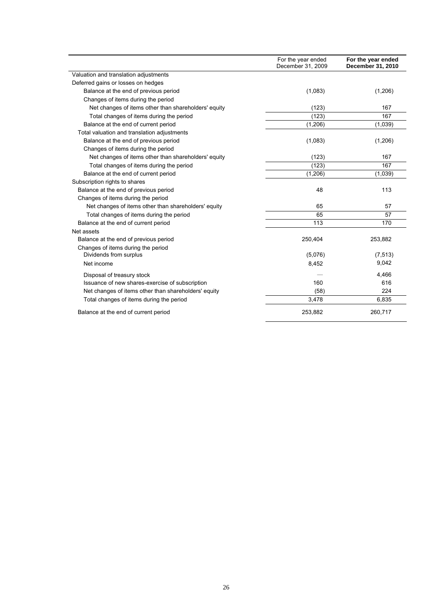|                                                      | For the year ended<br>December 31, 2009 | For the year ended<br>December 31, 2010 |
|------------------------------------------------------|-----------------------------------------|-----------------------------------------|
| Valuation and translation adjustments                |                                         |                                         |
| Deferred gains or losses on hedges                   |                                         |                                         |
| Balance at the end of previous period                | (1,083)                                 | (1,206)                                 |
| Changes of items during the period                   |                                         |                                         |
| Net changes of items other than shareholders' equity | (123)                                   | 167                                     |
| Total changes of items during the period             | (123)                                   | 167                                     |
| Balance at the end of current period                 | (1,206)                                 | (1,039)                                 |
| Total valuation and translation adjustments          |                                         |                                         |
| Balance at the end of previous period                | (1,083)                                 | (1,206)                                 |
| Changes of items during the period                   |                                         |                                         |
| Net changes of items other than shareholders' equity | (123)                                   | 167                                     |
| Total changes of items during the period             | (123)                                   | 167                                     |
| Balance at the end of current period                 | (1,206)                                 | (1,039)                                 |
| Subscription rights to shares                        |                                         |                                         |
| Balance at the end of previous period                | 48                                      | 113                                     |
| Changes of items during the period                   |                                         |                                         |
| Net changes of items other than shareholders' equity | 65                                      | 57                                      |
| Total changes of items during the period             | 65                                      | 57                                      |
| Balance at the end of current period                 | 113                                     | 170                                     |
| Net assets                                           |                                         |                                         |
| Balance at the end of previous period                | 250,404                                 | 253,882                                 |
| Changes of items during the period                   |                                         |                                         |
| Dividends from surplus                               | (5,076)                                 | (7, 513)                                |
| Net income                                           | 8,452                                   | 9,042                                   |
| Disposal of treasury stock                           |                                         | 4,466                                   |
| Issuance of new shares-exercise of subscription      | 160                                     | 616                                     |
| Net changes of items other than shareholders' equity | (58)                                    | 224                                     |
| Total changes of items during the period             | 3,478                                   | 6,835                                   |
| Balance at the end of current period                 | 253,882                                 | 260,717                                 |